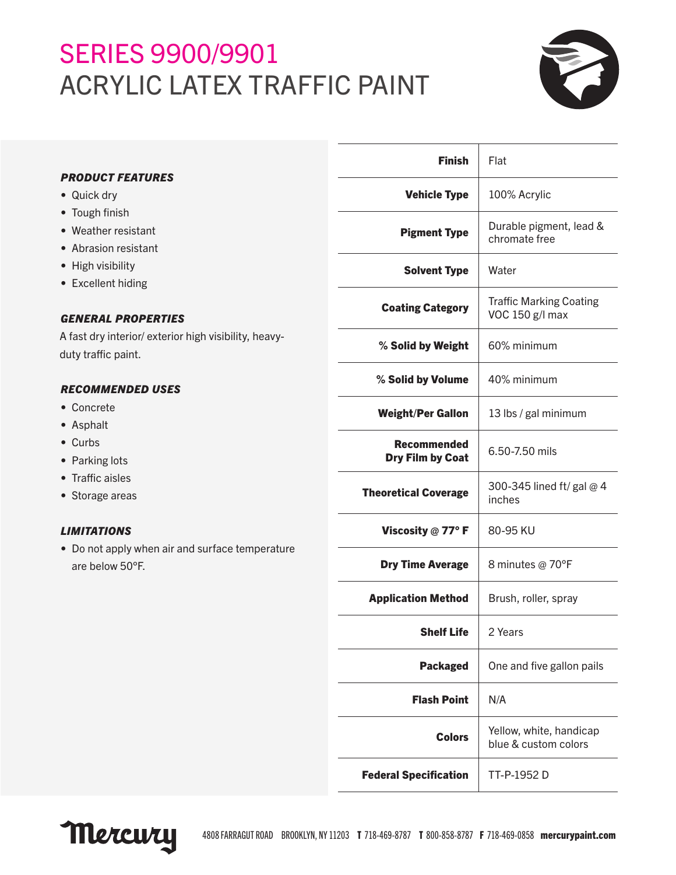# SERIES 9900/9901 ACRYLIC LATEX TRAFFIC PAINT



| <b>PRODUCT FEATURES</b><br>• Quick dry<br>• Tough finish<br>• Weather resistant<br>• Abrasion resistant<br>• High visibility<br>• Excellent hiding<br><b>GENERAL PROPERTIES</b><br>A fast dry interior/ exterior high visibility, heavy-<br>duty traffic paint. | <b>Finish</b>                          | Flat                                              |
|-----------------------------------------------------------------------------------------------------------------------------------------------------------------------------------------------------------------------------------------------------------------|----------------------------------------|---------------------------------------------------|
|                                                                                                                                                                                                                                                                 | <b>Vehicle Type</b>                    | 100% Acrylic                                      |
|                                                                                                                                                                                                                                                                 | <b>Pigment Type</b>                    | Durable pigment, lead &<br>chromate free          |
|                                                                                                                                                                                                                                                                 | <b>Solvent Type</b>                    | Water                                             |
|                                                                                                                                                                                                                                                                 | <b>Coating Category</b>                | <b>Traffic Marking Coating</b><br>VOC 150 g/l max |
|                                                                                                                                                                                                                                                                 | % Solid by Weight                      | 60% minimum                                       |
| <b>RECOMMENDED USES</b><br>• Concrete<br>• Asphalt<br>• Curbs<br>• Parking lots<br>• Traffic aisles<br>• Storage areas                                                                                                                                          | % Solid by Volume                      | 40% minimum                                       |
|                                                                                                                                                                                                                                                                 | <b>Weight/Per Gallon</b>               | 13 lbs / gal minimum                              |
|                                                                                                                                                                                                                                                                 | <b>Recommended</b><br>Dry Film by Coat | 6.50-7.50 mils                                    |
|                                                                                                                                                                                                                                                                 | <b>Theoretical Coverage</b>            | 300-345 lined ft/ gal @ 4<br>inches               |
| <b>LIMITATIONS</b><br>• Do not apply when air and surface temperature<br>are below 50°F.                                                                                                                                                                        | Viscosity $@$ 77° F                    | 80-95 KU                                          |
|                                                                                                                                                                                                                                                                 | <b>Dry Time Average</b>                | 8 minutes @ 70°F                                  |
|                                                                                                                                                                                                                                                                 | <b>Application Method</b>              | Brush, roller, spray                              |
|                                                                                                                                                                                                                                                                 | <b>Shelf Life</b>                      | 2 Years                                           |
|                                                                                                                                                                                                                                                                 | <b>Packaged</b>                        | One and five gallon pails                         |
|                                                                                                                                                                                                                                                                 | <b>Flash Point</b>                     | N/A                                               |
|                                                                                                                                                                                                                                                                 | <b>Colors</b>                          | Yellow, white, handicap<br>blue & custom colors   |
|                                                                                                                                                                                                                                                                 |                                        |                                                   |

Mercury

Federal Specification | TT-P-1952 D